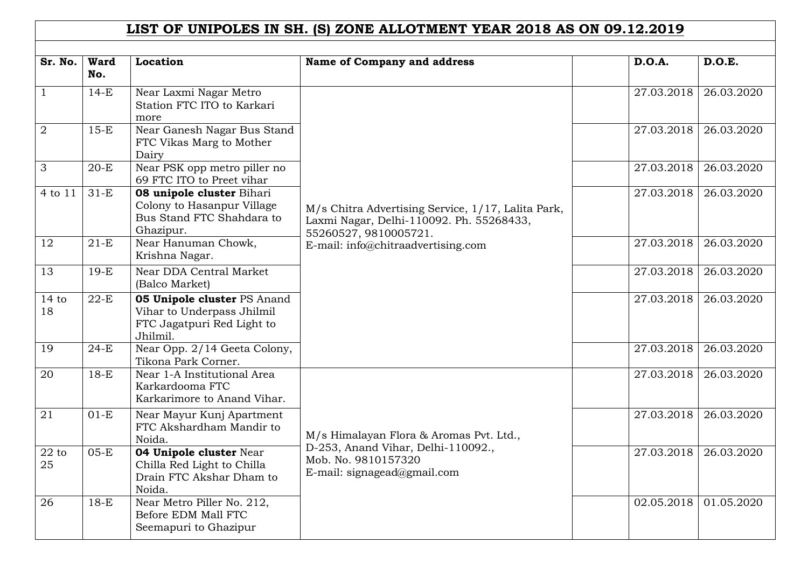## **LIST OF UNIPOLES IN SH. (S) ZONE ALLOTMENT YEAR 2018 AS ON 09.12.2019**

| Sr. No.         | <b>Ward</b> | Location                                                                                                   | <b>Name of Company and address</b>                                                                                                                            | <b>D.O.A.</b> | D.O.E.     |
|-----------------|-------------|------------------------------------------------------------------------------------------------------------|---------------------------------------------------------------------------------------------------------------------------------------------------------------|---------------|------------|
|                 | No.         |                                                                                                            |                                                                                                                                                               |               |            |
| $\mathbf{1}$    | $14-E$      | Near Laxmi Nagar Metro<br>Station FTC ITO to Karkari<br>more                                               |                                                                                                                                                               | 27.03.2018    | 26.03.2020 |
| $\overline{2}$  | $15-E$      | Near Ganesh Nagar Bus Stand<br>FTC Vikas Marg to Mother<br>Dairy                                           |                                                                                                                                                               | 27.03.2018    | 26.03.2020 |
| 3               | $20-E$      | Near PSK opp metro piller no<br>69 FTC ITO to Preet vihar                                                  |                                                                                                                                                               | 27.03.2018    | 26.03.2020 |
| 4 to 11         | $31-E$      | 08 unipole cluster Bihari<br>Colony to Hasanpur Village<br>Bus Stand FTC Shahdara to<br>Ghazipur.          | M/s Chitra Advertising Service, 1/17, Lalita Park,<br>Laxmi Nagar, Delhi-110092. Ph. 55268433,<br>55260527, 9810005721.<br>E-mail: info@chitraadvertising.com | 27.03.2018    | 26.03.2020 |
| 12              | $21-E$      | Near Hanuman Chowk,<br>Krishna Nagar.                                                                      |                                                                                                                                                               | 27.03.2018    | 26.03.2020 |
| 13              | $19-E$      | Near DDA Central Market<br>(Balco Market)                                                                  |                                                                                                                                                               | 27.03.2018    | 26.03.2020 |
| 14 to<br>18     | $22-E$      | <b>05 Unipole cluster PS Anand</b><br>Vihar to Underpass Jhilmil<br>FTC Jagatpuri Red Light to<br>Jhilmil. |                                                                                                                                                               | 27.03.2018    | 26.03.2020 |
| 19              | $24-E$      | Near Opp. 2/14 Geeta Colony,<br>Tikona Park Corner.                                                        |                                                                                                                                                               | 27.03.2018    | 26.03.2020 |
| $\overline{20}$ | $18-E$      | Near 1-A Institutional Area<br>Karkardooma FTC<br>Karkarimore to Anand Vihar.                              |                                                                                                                                                               | 27.03.2018    | 26.03.2020 |
| 21              | $01-E$      | Near Mayur Kunj Apartment<br>FTC Akshardham Mandir to<br>Noida.                                            | M/s Himalayan Flora & Aromas Pvt. Ltd.,                                                                                                                       | 27.03.2018    | 26.03.2020 |
| $22$ to<br>25   | $05-E$      | 04 Unipole cluster Near<br>Chilla Red Light to Chilla<br>Drain FTC Akshar Dham to<br>Noida.                | D-253, Anand Vihar, Delhi-110092.,<br>Mob. No. 9810157320<br>E-mail: signagead@gmail.com                                                                      | 27.03.2018    | 26.03.2020 |
| 26              | $18-E$      | Near Metro Piller No. 212,<br>Before EDM Mall FTC<br>Seemapuri to Ghazipur                                 |                                                                                                                                                               | 02.05.2018    | 01.05.2020 |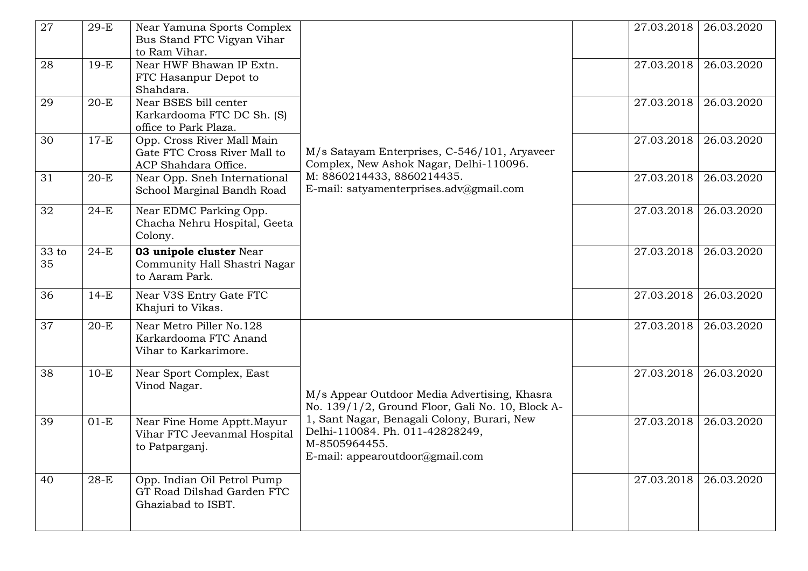| 27          | $29-E$ | Near Yamuna Sports Complex<br>Bus Stand FTC Vigyan Vihar<br>to Ram Vihar.          |                                                                                                                                                                                                                                        |            | 27.03.2018   26.03.2020 |
|-------------|--------|------------------------------------------------------------------------------------|----------------------------------------------------------------------------------------------------------------------------------------------------------------------------------------------------------------------------------------|------------|-------------------------|
| 28          | $19-E$ | Near HWF Bhawan IP Extn.<br>FTC Hasanpur Depot to<br>Shahdara.                     |                                                                                                                                                                                                                                        | 27.03.2018 | 26.03.2020              |
| 29          | $20-E$ | Near BSES bill center<br>Karkardooma FTC DC Sh. (S)<br>office to Park Plaza.       |                                                                                                                                                                                                                                        | 27.03.2018 | 26.03.2020              |
| 30          | $17-E$ | Opp. Cross River Mall Main<br>Gate FTC Cross River Mall to<br>ACP Shahdara Office. | M/s Satayam Enterprises, C-546/101, Aryaveer<br>Complex, New Ashok Nagar, Delhi-110096.                                                                                                                                                | 27.03.2018 | 26.03.2020              |
| 31          | $20-E$ | Near Opp. Sneh International<br>School Marginal Bandh Road                         | M: 8860214433, 8860214435.<br>E-mail: satyamenterprises.adv@gmail.com                                                                                                                                                                  | 27.03.2018 | 26.03.2020              |
| 32          | $24-E$ | Near EDMC Parking Opp.<br>Chacha Nehru Hospital, Geeta<br>Colony.                  |                                                                                                                                                                                                                                        | 27.03.2018 | 26.03.2020              |
| 33 to<br>35 | $24-E$ | 03 unipole cluster Near<br>Community Hall Shastri Nagar<br>to Aaram Park.          |                                                                                                                                                                                                                                        | 27.03.2018 | 26.03.2020              |
| 36          | $14-E$ | Near V3S Entry Gate FTC<br>Khajuri to Vikas.                                       |                                                                                                                                                                                                                                        | 27.03.2018 | 26.03.2020              |
| 37          | $20-E$ | Near Metro Piller No.128<br>Karkardooma FTC Anand<br>Vihar to Karkarimore.         |                                                                                                                                                                                                                                        | 27.03.2018 | 26.03.2020              |
| 38          | $10-E$ | Near Sport Complex, East<br>Vinod Nagar.                                           | M/s Appear Outdoor Media Advertising, Khasra<br>No. 139/1/2, Ground Floor, Gali No. 10, Block A-<br>1, Sant Nagar, Benagali Colony, Burari, New<br>Delhi-110084. Ph. 011-42828249,<br>M-8505964455.<br>E-mail: appearoutdoor@gmail.com | 27.03.2018 | 26.03.2020              |
| 39          | $01-E$ | Near Fine Home Apptt. Mayur<br>Vihar FTC Jeevanmal Hospital<br>to Patparganj.      |                                                                                                                                                                                                                                        | 27.03.2018 | 26.03.2020              |
| 40          | $28-E$ | Opp. Indian Oil Petrol Pump<br>GT Road Dilshad Garden FTC<br>Ghaziabad to ISBT.    |                                                                                                                                                                                                                                        | 27.03.2018 | 26.03.2020              |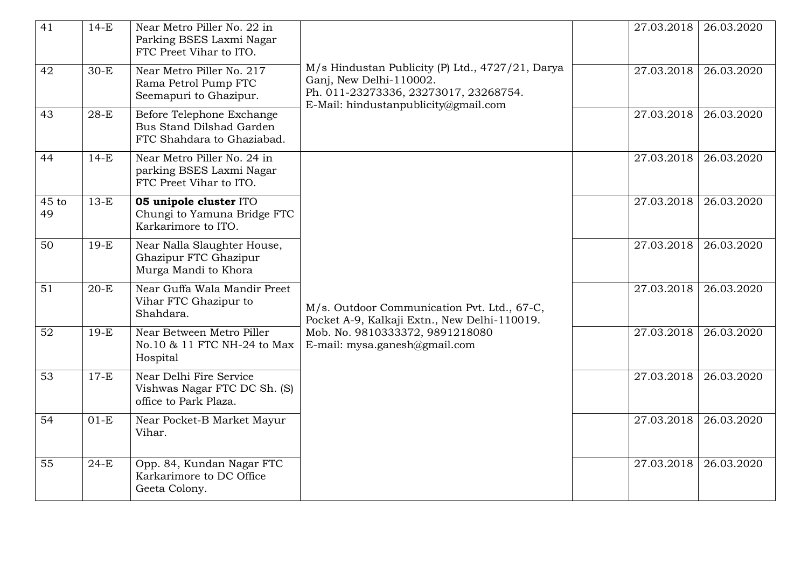| 41              | $14-E$ | Near Metro Piller No. 22 in<br>Parking BSES Laxmi Nagar<br>FTC Preet Vihar to ITO.  |                                                                                                                                                                 | 27.03.2018 | 26.03.2020 |
|-----------------|--------|-------------------------------------------------------------------------------------|-----------------------------------------------------------------------------------------------------------------------------------------------------------------|------------|------------|
| 42              | $30-E$ | Near Metro Piller No. 217<br>Rama Petrol Pump FTC<br>Seemapuri to Ghazipur.         | M/s Hindustan Publicity (P) Ltd., 4727/21, Darya<br>Ganj, New Delhi-110002.<br>Ph. 011-23273336, 23273017, 23268754.<br>E-Mail: hindustanpublicity@gmail.com    | 27.03.2018 | 26.03.2020 |
| 43              | $28-E$ | Before Telephone Exchange<br>Bus Stand Dilshad Garden<br>FTC Shahdara to Ghaziabad. |                                                                                                                                                                 | 27.03.2018 | 26.03.2020 |
| 44              | $14-E$ | Near Metro Piller No. 24 in<br>parking BSES Laxmi Nagar<br>FTC Preet Vihar to ITO.  | M/s. Outdoor Communication Pvt. Ltd., 67-C,<br>Pocket A-9, Kalkaji Extn., New Delhi-110019.<br>Mob. No. 9810333372, 9891218080<br>E-mail: mysa.ganesh@gmail.com | 27.03.2018 | 26.03.2020 |
| $45$ to<br>49   | $13-E$ | 05 unipole cluster ITO<br>Chungi to Yamuna Bridge FTC<br>Karkarimore to ITO.        |                                                                                                                                                                 | 27.03.2018 | 26.03.2020 |
| 50              | $19-E$ | Near Nalla Slaughter House,<br>Ghazipur FTC Ghazipur<br>Murga Mandi to Khora        |                                                                                                                                                                 | 27.03.2018 | 26.03.2020 |
| 51              | $20-E$ | Near Guffa Wala Mandir Preet<br>Vihar FTC Ghazipur to<br>Shahdara.                  |                                                                                                                                                                 | 27.03.2018 | 26.03.2020 |
| 52              | $19-E$ | Near Between Metro Piller<br>No.10 & 11 FTC NH-24 to Max<br>Hospital                |                                                                                                                                                                 | 27.03.2018 | 26.03.2020 |
| $\overline{53}$ | $17-E$ | Near Delhi Fire Service<br>Vishwas Nagar FTC DC Sh. (S)<br>office to Park Plaza.    |                                                                                                                                                                 | 27.03.2018 | 26.03.2020 |
| 54              | $01-E$ | Near Pocket-B Market Mayur<br>Vihar.                                                |                                                                                                                                                                 | 27.03.2018 | 26.03.2020 |
| 55              | $24-E$ | Opp. 84, Kundan Nagar FTC<br>Karkarimore to DC Office<br>Geeta Colony.              |                                                                                                                                                                 | 27.03.2018 | 26.03.2020 |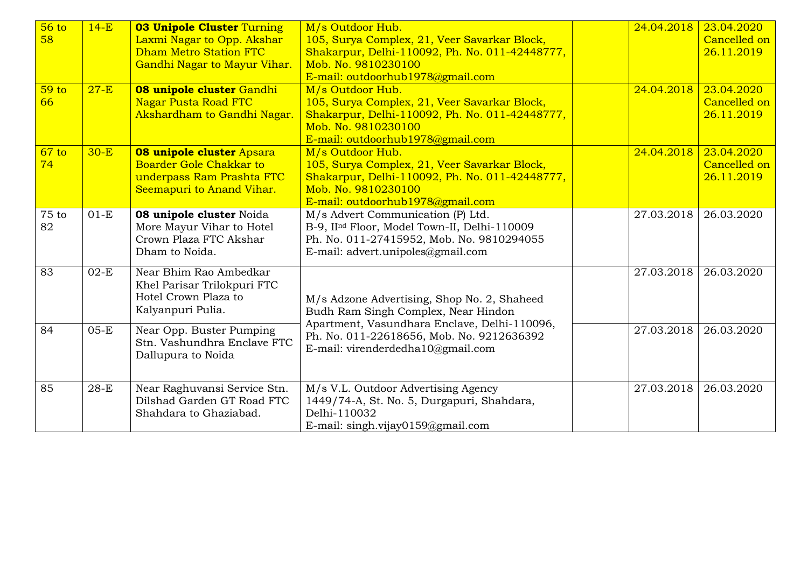| 56 to<br>58            | $14-E$ | <b>03 Unipole Cluster Turning</b><br>Laxmi Nagar to Opp. Akshar<br><b>Dham Metro Station FTC</b><br>Gandhi Nagar to Mayur Vihar. | M/s Outdoor Hub.<br>105, Surya Complex, 21, Veer Savarkar Block,<br>Shakarpur, Delhi-110092, Ph. No. 011-42448777,<br>Mob. No. 9810230100                                     | 24.04.2018 | 23.04.2020<br>Cancelled on<br>26.11.2019 |
|------------------------|--------|----------------------------------------------------------------------------------------------------------------------------------|-------------------------------------------------------------------------------------------------------------------------------------------------------------------------------|------------|------------------------------------------|
|                        |        |                                                                                                                                  | E-mail: outdoorhub1978@gmail.com                                                                                                                                              |            |                                          |
| 59 <sub>to</sub><br>66 | $27-E$ | 08 unipole cluster Gandhi<br><b>Nagar Pusta Road FTC</b><br>Akshardham to Gandhi Nagar.                                          | M/s Outdoor Hub.<br>105, Surya Complex, 21, Veer Savarkar Block,<br>Shakarpur, Delhi-110092, Ph. No. 011-42448777,<br>Mob. No. 9810230100<br>E-mail: outdoorhub1978@gmail.com | 24.04.2018 | 23.04.2020<br>Cancelled on<br>26.11.2019 |
| 67 to<br>74            | $30-E$ | <b>08 unipole cluster Apsara</b><br><b>Boarder Gole Chakkar to</b><br>underpass Ram Prashta FTC<br>Seemapuri to Anand Vihar.     | M/s Outdoor Hub.<br>105, Surya Complex, 21, Veer Savarkar Block,<br>Shakarpur, Delhi-110092, Ph. No. 011-42448777,<br>Mob. No. 9810230100<br>E-mail: outdoorhub1978@gmail.com | 24.04.2018 | 23.04.2020<br>Cancelled on<br>26.11.2019 |
| 75 to<br>82            | $01-E$ | 08 unipole cluster Noida<br>More Mayur Vihar to Hotel<br>Crown Plaza FTC Akshar<br>Dham to Noida.                                | M/s Advert Communication (P) Ltd.<br>B-9, IInd Floor, Model Town-II, Delhi-110009<br>Ph. No. 011-27415952, Mob. No. 9810294055<br>E-mail: advert.unipoles@gmail.com           | 27.03.2018 | 26.03.2020                               |
| 83                     | $02-E$ | Near Bhim Rao Ambedkar<br>Khel Parisar Trilokpuri FTC<br>Hotel Crown Plaza to<br>Kalyanpuri Pulia.                               | M/s Adzone Advertising, Shop No. 2, Shaheed<br>Budh Ram Singh Complex, Near Hindon                                                                                            | 27.03.2018 | 26.03.2020                               |
| 84                     | $05-E$ | Near Opp. Buster Pumping<br>Stn. Vashundhra Enclave FTC<br>Dallupura to Noida                                                    | Apartment, Vasundhara Enclave, Delhi-110096,<br>Ph. No. 011-22618656, Mob. No. 9212636392<br>E-mail: virenderdedha10@gmail.com                                                | 27.03.2018 | 26.03.2020                               |
| 85                     | $28-E$ | Near Raghuvansi Service Stn.<br>Dilshad Garden GT Road FTC<br>Shahdara to Ghaziabad.                                             | M/s V.L. Outdoor Advertising Agency<br>1449/74-A, St. No. 5, Durgapuri, Shahdara,<br>Delhi-110032<br>E-mail: singh.vijay0159@gmail.com                                        | 27.03.2018 | 26.03.2020                               |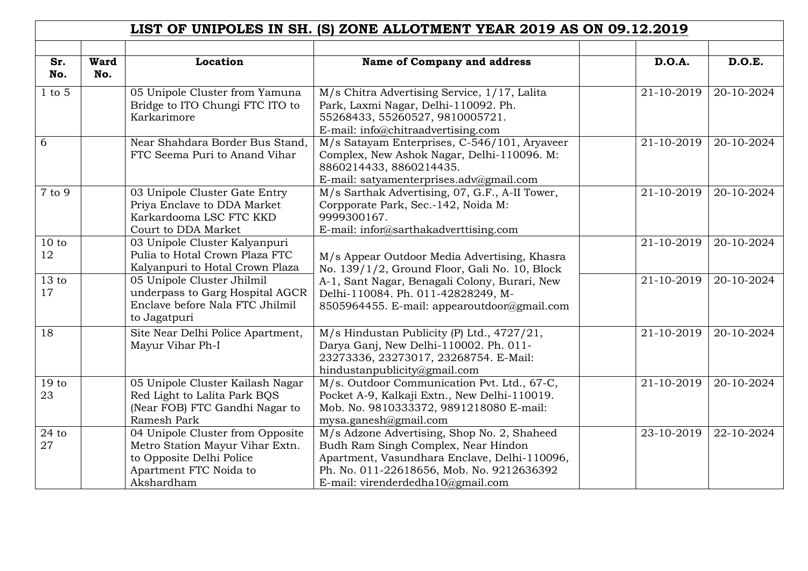|                        |                    |                                                                                                                                         | LIST OF UNIPOLES IN SH. (S) ZONE ALLOTMENT YEAR 2019 AS ON 09.12.2019                                                                                                                                                |                             |            |
|------------------------|--------------------|-----------------------------------------------------------------------------------------------------------------------------------------|----------------------------------------------------------------------------------------------------------------------------------------------------------------------------------------------------------------------|-----------------------------|------------|
|                        |                    |                                                                                                                                         |                                                                                                                                                                                                                      |                             |            |
| Sr.<br>No.             | <b>Ward</b><br>No. | Location                                                                                                                                | <b>Name of Company and address</b>                                                                                                                                                                                   | <b>D.O.A.</b>               | D.O.E.     |
| $1$ to $5$             |                    | 05 Unipole Cluster from Yamuna<br>Bridge to ITO Chungi FTC ITO to<br>Karkarimore                                                        | M/s Chitra Advertising Service, 1/17, Lalita<br>Park, Laxmi Nagar, Delhi-110092. Ph.<br>55268433, 55260527, 9810005721.<br>E-mail: info@chitraadvertising.com                                                        | 21-10-2019                  | 20-10-2024 |
| 6                      |                    | Near Shahdara Border Bus Stand,<br>FTC Seema Puri to Anand Vihar                                                                        | M/s Satayam Enterprises, C-546/101, Aryaveer<br>Complex, New Ashok Nagar, Delhi-110096. M:<br>8860214433, 8860214435.<br>E-mail: satyamenterprises.adv@gmail.com                                                     | 21-10-2019                  | 20-10-2024 |
| $\overline{7}$ to 9    |                    | 03 Unipole Cluster Gate Entry<br>Priya Enclave to DDA Market<br>Karkardooma LSC FTC KKD<br>Court to DDA Market                          | M/s Sarthak Advertising, 07, G.F., A-II Tower,<br>Corpporate Park, Sec.-142, Noida M:<br>9999300167.<br>E-mail: infor@sarthakadverttising.com                                                                        | 21-10-2019                  | 20-10-2024 |
| 10 to<br>12            |                    | 03 Unipole Cluster Kalyanpuri<br>Pulia to Hotal Crown Plaza FTC<br>Kalyanpuri to Hotal Crown Plaza                                      | M/s Appear Outdoor Media Advertising, Khasra<br>No. 139/1/2, Ground Floor, Gali No. 10, Block                                                                                                                        | 21-10-2019                  | 20-10-2024 |
| 13 to<br>17            |                    | 05 Unipole Cluster Jhilmil<br>underpass to Garg Hospital AGCR<br>Enclave before Nala FTC Jhilmil<br>to Jagatpuri                        | A-1, Sant Nagar, Benagali Colony, Burari, New<br>Delhi-110084. Ph. 011-42828249, M-<br>8505964455. E-mail: appearoutdoor@gmail.com                                                                                   | 21-10-2019                  | 20-10-2024 |
| 18                     |                    | Site Near Delhi Police Apartment,<br>Mayur Vihar Ph-I                                                                                   | M/s Hindustan Publicity (P) Ltd., 4727/21,<br>Darya Ganj, New Delhi-110002. Ph. 011-<br>23273336, 23273017, 23268754. E-Mail:<br>hindustanpublicity@gmail.com                                                        | 21-10-2019                  | 20-10-2024 |
| 19 <sub>to</sub><br>23 |                    | 05 Unipole Cluster Kailash Nagar<br>Red Light to Lalita Park BQS<br>(Near FOB) FTC Gandhi Nagar to<br>Ramesh Park                       | M/s. Outdoor Communication Pvt. Ltd., 67-C,<br>Pocket A-9, Kalkaji Extn., New Delhi-110019.<br>Mob. No. 9810333372, 9891218080 E-mail:<br>mysa.ganesh@gmail.com                                                      | 21-10-2019                  | 20-10-2024 |
| $24$ to<br>27          |                    | 04 Unipole Cluster from Opposite<br>Metro Station Mayur Vihar Extn.<br>to Opposite Delhi Police<br>Apartment FTC Noida to<br>Akshardham | M/s Adzone Advertising, Shop No. 2, Shaheed<br>Budh Ram Singh Complex, Near Hindon<br>Apartment, Vasundhara Enclave, Delhi-110096,<br>Ph. No. 011-22618656, Mob. No. 9212636392<br>E-mail: virenderdedha10@gmail.com | $\overline{23} - 10 - 2019$ | 22-10-2024 |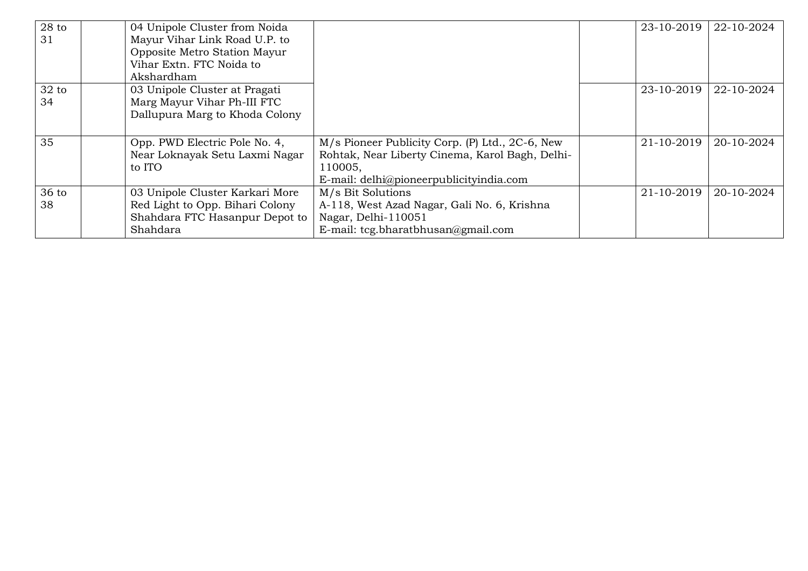| $28$ to<br>31 | 04 Unipole Cluster from Noida<br>Mayur Vihar Link Road U.P. to<br>Opposite Metro Station Mayur<br>Vihar Extn. FTC Noida to<br>Akshardham |                                                                                                                                                          | 23-10-2019 | 22-10-2024 |
|---------------|------------------------------------------------------------------------------------------------------------------------------------------|----------------------------------------------------------------------------------------------------------------------------------------------------------|------------|------------|
| $32$ to<br>34 | 03 Unipole Cluster at Pragati<br>Marg Mayur Vihar Ph-III FTC<br>Dallupura Marg to Khoda Colony                                           |                                                                                                                                                          | 23-10-2019 | 22-10-2024 |
| 35            | Opp. PWD Electric Pole No. 4,<br>Near Loknayak Setu Laxmi Nagar<br>to ITO                                                                | M/s Pioneer Publicity Corp. (P) Ltd., 2C-6, New<br>Rohtak, Near Liberty Cinema, Karol Bagh, Delhi-<br>110005,<br>E-mail: delhi@pioneerpublicityindia.com | 21-10-2019 | 20-10-2024 |
| 36 to<br>38   | 03 Unipole Cluster Karkari More<br>Red Light to Opp. Bihari Colony<br>Shahdara FTC Hasanpur Depot to<br>Shahdara                         | M/s Bit Solutions<br>A-118, West Azad Nagar, Gali No. 6, Krishna<br>Nagar, Delhi-110051<br>E-mail: tcg.bharatbhusan@gmail.com                            | 21-10-2019 | 20-10-2024 |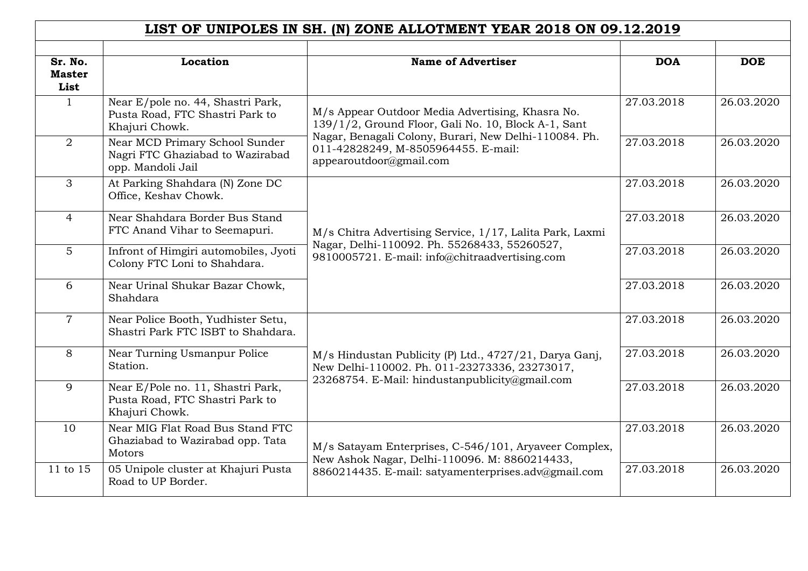| LIST OF UNIPOLES IN SH. (N) ZONE ALLOTMENT YEAR 2018 ON 09.12.2019 |                                                                                         |                                                                                                                                                            |            |            |  |  |
|--------------------------------------------------------------------|-----------------------------------------------------------------------------------------|------------------------------------------------------------------------------------------------------------------------------------------------------------|------------|------------|--|--|
| Sr. No.<br><b>Master</b><br>List                                   | Location                                                                                | <b>Name of Advertiser</b>                                                                                                                                  | <b>DOA</b> | <b>DOE</b> |  |  |
| $\mathbf{1}$                                                       | Near E/pole no. 44, Shastri Park,<br>Pusta Road, FTC Shastri Park to<br>Khajuri Chowk.  | M/s Appear Outdoor Media Advertising, Khasra No.<br>139/1/2, Ground Floor, Gali No. 10, Block A-1, Sant                                                    | 27.03.2018 | 26.03.2020 |  |  |
| $\overline{2}$                                                     | Near MCD Primary School Sunder<br>Nagri FTC Ghaziabad to Wazirabad<br>opp. Mandoli Jail | Nagar, Benagali Colony, Burari, New Delhi-110084. Ph.<br>011-42828249, M-8505964455. E-mail:<br>appearoutdoor@gmail.com                                    | 27.03.2018 | 26.03.2020 |  |  |
| 3                                                                  | At Parking Shahdara (N) Zone DC<br>Office, Keshav Chowk.                                | M/s Chitra Advertising Service, 1/17, Lalita Park, Laxmi<br>Nagar, Delhi-110092. Ph. 55268433, 55260527,<br>9810005721. E-mail: info@chitraadvertising.com | 27.03.2018 | 26.03.2020 |  |  |
| $\overline{4}$                                                     | Near Shahdara Border Bus Stand<br>FTC Anand Vihar to Seemapuri.                         |                                                                                                                                                            | 27.03.2018 | 26.03.2020 |  |  |
| 5                                                                  | Infront of Himgiri automobiles, Jyoti<br>Colony FTC Loni to Shahdara.                   |                                                                                                                                                            | 27.03.2018 | 26.03.2020 |  |  |
| 6                                                                  | Near Urinal Shukar Bazar Chowk,<br>Shahdara                                             |                                                                                                                                                            | 27.03.2018 | 26.03.2020 |  |  |
| $\overline{7}$                                                     | Near Police Booth, Yudhister Setu,<br>Shastri Park FTC ISBT to Shahdara.                |                                                                                                                                                            | 27.03.2018 | 26.03.2020 |  |  |
| 8                                                                  | Near Turning Usmanpur Police<br>Station.                                                | M/s Hindustan Publicity (P) Ltd., 4727/21, Darya Ganj,<br>New Delhi-110002. Ph. 011-23273336, 23273017,<br>23268754. E-Mail: hindustanpublicity@gmail.com  | 27.03.2018 | 26.03.2020 |  |  |
| 9                                                                  | Near E/Pole no. 11, Shastri Park,<br>Pusta Road, FTC Shastri Park to<br>Khajuri Chowk.  |                                                                                                                                                            | 27.03.2018 | 26.03.2020 |  |  |
| 10                                                                 | Near MIG Flat Road Bus Stand FTC<br>Ghaziabad to Wazirabad opp. Tata<br>Motors          | M/s Satayam Enterprises, C-546/101, Aryaveer Complex,<br>New Ashok Nagar, Delhi-110096. M: 8860214433,                                                     | 27.03.2018 | 26.03.2020 |  |  |
| 11 to 15                                                           | 05 Unipole cluster at Khajuri Pusta<br>Road to UP Border.                               | 8860214435. E-mail: satyamenterprises.adv@gmail.com                                                                                                        | 27.03.2018 | 26.03.2020 |  |  |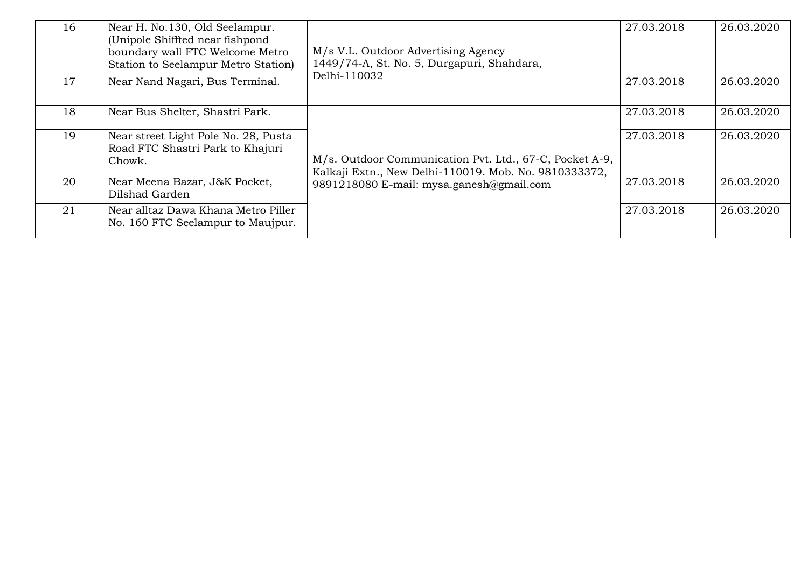| 16 | Near H. No.130, Old Seelampur.<br>(Unipole Shiffted near fishpond<br>boundary wall FTC Welcome Metro<br>Station to Seelampur Metro Station) | M/s V.L. Outdoor Advertising Agency<br>1449/74-A, St. No. 5, Durgapuri, Shahdara,                                                                            | 27.03.2018 | 26.03.2020 |
|----|---------------------------------------------------------------------------------------------------------------------------------------------|--------------------------------------------------------------------------------------------------------------------------------------------------------------|------------|------------|
| 17 | Near Nand Nagari, Bus Terminal.                                                                                                             | Delhi-110032                                                                                                                                                 | 27.03.2018 | 26.03.2020 |
| 18 | Near Bus Shelter, Shastri Park.                                                                                                             |                                                                                                                                                              | 27.03.2018 | 26.03.2020 |
| 19 | Near street Light Pole No. 28, Pusta<br>Road FTC Shastri Park to Khajuri<br>Chowk.                                                          | M/s. Outdoor Communication Pvt. Ltd., 67-C, Pocket A-9,<br>Kalkaji Extn., New Delhi-110019. Mob. No. 9810333372,<br>9891218080 E-mail: mysa.ganesh@gmail.com | 27.03.2018 | 26.03.2020 |
| 20 | Near Meena Bazar, J&K Pocket,<br>Dilshad Garden                                                                                             |                                                                                                                                                              | 27.03.2018 | 26.03.2020 |
| 21 | Near alltaz Dawa Khana Metro Piller<br>No. 160 FTC Seelampur to Maujpur.                                                                    |                                                                                                                                                              | 27.03.2018 | 26.03.2020 |